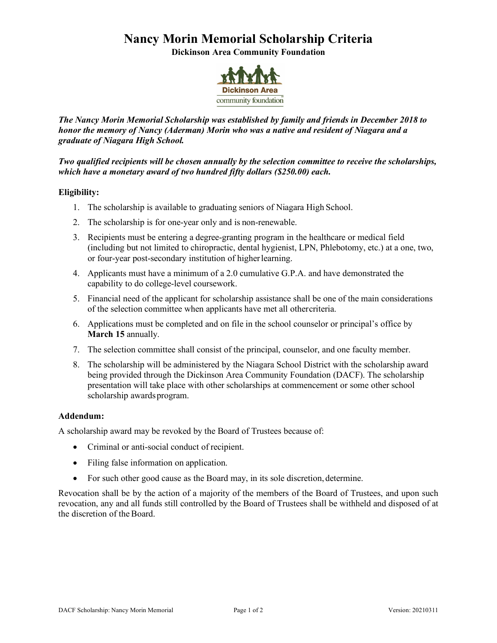## **Nancy Morin Memorial Scholarship Criteria**

**Dickinson Area Community Foundation**



*The Nancy Morin Memorial Scholarship was established by family and friends in December 2018 to honor the memory of Nancy (Aderman) Morin who was a native and resident of Niagara and a graduate of Niagara High School.*

*Two qualified recipients will be chosen annually by the selection committee to receive the scholarships, which have a monetary award of two hundred fifty dollars (\$250.00) each.*

### **Eligibility:**

- 1. The scholarship is available to graduating seniors of Niagara High School.
- 2. The scholarship is for one-year only and is non-renewable.
- 3. Recipients must be entering a degree-granting program in the healthcare or medical field (including but not limited to chiropractic, dental hygienist, LPN, Phlebotomy, etc.) at a one, two, or four-year post-secondary institution of higher learning.
- 4. Applicants must have a minimum of a 2.0 cumulative G.P.A. and have demonstrated the capability to do college-level coursework.
- 5. Financial need of the applicant for scholarship assistance shall be one of the main considerations of the selection committee when applicants have met all othercriteria.
- 6. Applications must be completed and on file in the school counselor or principal's office by **March 15** annually.
- 7. The selection committee shall consist of the principal, counselor, and one faculty member.
- 8. The scholarship will be administered by the Niagara School District with the scholarship award being provided through the Dickinson Area Community Foundation (DACF). The scholarship presentation will take place with other scholarships at commencement or some other school scholarship awards program.

### **Addendum:**

A scholarship award may be revoked by the Board of Trustees because of:

- Criminal or anti-social conduct of recipient.
- Filing false information on application.
- For such other good cause as the Board may, in its sole discretion, determine.

Revocation shall be by the action of a majority of the members of the Board of Trustees, and upon such revocation, any and all funds still controlled by the Board of Trustees shall be withheld and disposed of at the discretion of the Board.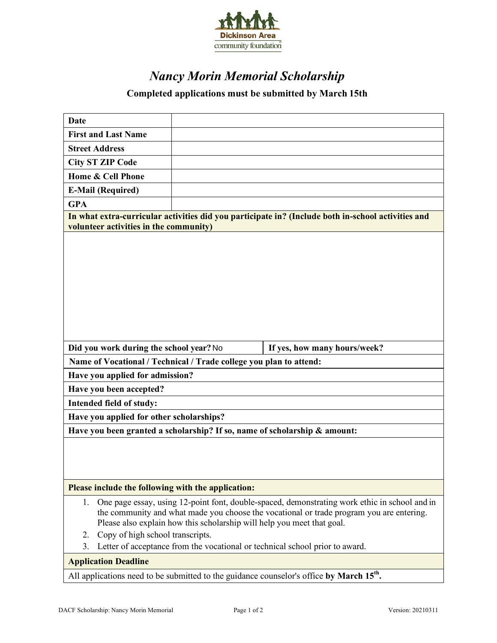

# *Nancy Morin Memorial Scholarship*

### **Completed applications must be submitted by March 15th**

| Date                                                                                                                                                                                                                                                                                                                                                                                                      |                                                                                                      |                              |  |  |
|-----------------------------------------------------------------------------------------------------------------------------------------------------------------------------------------------------------------------------------------------------------------------------------------------------------------------------------------------------------------------------------------------------------|------------------------------------------------------------------------------------------------------|------------------------------|--|--|
| <b>First and Last Name</b>                                                                                                                                                                                                                                                                                                                                                                                |                                                                                                      |                              |  |  |
| <b>Street Address</b>                                                                                                                                                                                                                                                                                                                                                                                     |                                                                                                      |                              |  |  |
| <b>City ST ZIP Code</b>                                                                                                                                                                                                                                                                                                                                                                                   |                                                                                                      |                              |  |  |
| Home & Cell Phone                                                                                                                                                                                                                                                                                                                                                                                         |                                                                                                      |                              |  |  |
|                                                                                                                                                                                                                                                                                                                                                                                                           |                                                                                                      |                              |  |  |
| <b>E-Mail (Required)</b>                                                                                                                                                                                                                                                                                                                                                                                  |                                                                                                      |                              |  |  |
| <b>GPA</b>                                                                                                                                                                                                                                                                                                                                                                                                |                                                                                                      |                              |  |  |
| In what extra-curricular activities did you participate in? (Include both in-school activities and<br>volunteer activities in the community)                                                                                                                                                                                                                                                              |                                                                                                      |                              |  |  |
|                                                                                                                                                                                                                                                                                                                                                                                                           |                                                                                                      |                              |  |  |
| Did you work during the school year? No                                                                                                                                                                                                                                                                                                                                                                   |                                                                                                      | If yes, how many hours/week? |  |  |
| Name of Vocational / Technical / Trade college you plan to attend:                                                                                                                                                                                                                                                                                                                                        |                                                                                                      |                              |  |  |
| Have you applied for admission?                                                                                                                                                                                                                                                                                                                                                                           |                                                                                                      |                              |  |  |
| Have you been accepted?                                                                                                                                                                                                                                                                                                                                                                                   |                                                                                                      |                              |  |  |
| Intended field of study:                                                                                                                                                                                                                                                                                                                                                                                  |                                                                                                      |                              |  |  |
| Have you applied for other scholarships?                                                                                                                                                                                                                                                                                                                                                                  |                                                                                                      |                              |  |  |
| Have you been granted a scholarship? If so, name of scholarship & amount:                                                                                                                                                                                                                                                                                                                                 |                                                                                                      |                              |  |  |
|                                                                                                                                                                                                                                                                                                                                                                                                           |                                                                                                      |                              |  |  |
| Please include the following with the application:                                                                                                                                                                                                                                                                                                                                                        |                                                                                                      |                              |  |  |
| One page essay, using 12-point font, double-spaced, demonstrating work ethic in school and in<br>1.<br>the community and what made you choose the vocational or trade program you are entering.<br>Please also explain how this scholarship will help you meet that goal.<br>Copy of high school transcripts.<br>2.<br>Letter of acceptance from the vocational or technical school prior to award.<br>3. |                                                                                                      |                              |  |  |
| <b>Application Deadline</b>                                                                                                                                                                                                                                                                                                                                                                               |                                                                                                      |                              |  |  |
|                                                                                                                                                                                                                                                                                                                                                                                                           | All applications need to be submitted to the guidance counselor's office by March 15 <sup>th</sup> . |                              |  |  |